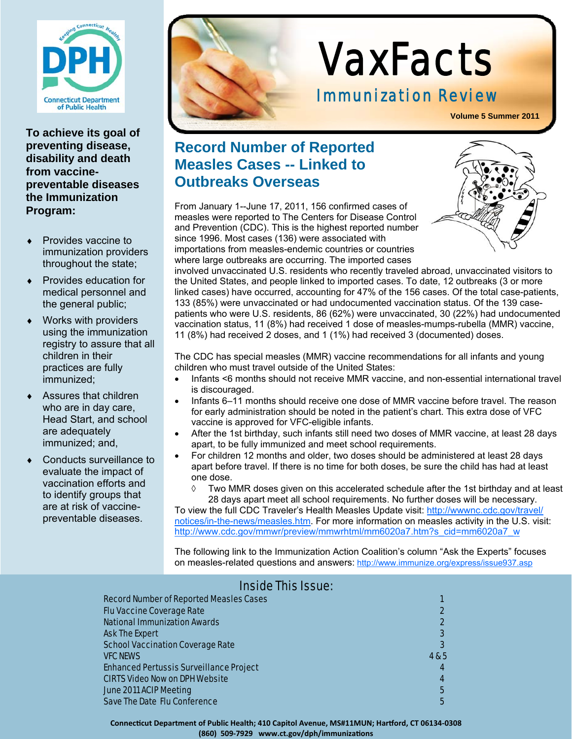

**To achieve its goal of preventing disease, disability and death from vaccinepreventable diseases the Immunization Program:** 

- Provides vaccine to immunization providers throughout the state;
- Provides education for medical personnel and the general public;
- Works with providers using the immunization registry to assure that all children in their practices are fully immunized;
- Assures that children who are in day care, Head Start, and school are adequately immunized; and,
- Conducts surveillance to evaluate the impact of vaccination efforts and to identify groups that are at risk of vaccinepreventable diseases.



# VaxFacts

## Immunization Review

**Volume 5 Summer 2011**

## **Record Number of Reported Measles Cases -- Linked to Outbreaks Overseas**

From January 1--June 17, 2011, 156 confirmed cases of measles were reported to The Centers for Disease Control and Prevention (CDC). This is the highest reported number since 1996. Most cases (136) were associated with importations from measles-endemic countries or countries where large outbreaks are occurring. The imported cases



involved unvaccinated U.S. residents who recently traveled abroad, unvaccinated visitors to the United States, and people linked to imported cases. To date, 12 outbreaks (3 or more linked cases) have occurred, accounting for 47% of the 156 cases. Of the total case-patients, 133 (85%) were unvaccinated or had undocumented vaccination status. Of the 139 casepatients who were U.S. residents, 86 (62%) were unvaccinated, 30 (22%) had undocumented vaccination status, 11 (8%) had received 1 dose of measles-mumps-rubella (MMR) vaccine, 11 (8%) had received 2 doses, and 1 (1%) had received 3 (documented) doses.

The CDC has special measles (MMR) vaccine recommendations for all infants and young children who must travel outside of the United States:

- Infants <6 months should not receive MMR vaccine, and non-essential international travel is discouraged.
- Infants 6–11 months should receive one dose of MMR vaccine before travel. The reason for early administration should be noted in the patient's chart. This extra dose of VFC vaccine is approved for VFC-eligible infants.
- After the 1st birthday, such infants still need two doses of MMR vaccine, at least 28 days apart, to be fully immunized and meet school requirements.
- For children 12 months and older, two doses should be administered at least 28 days apart before travel. If there is no time for both doses, be sure the child has had at least one dose.
	- Two MMR doses given on this accelerated schedule after the 1st birthday and at least 28 days apart meet all school requirements. No further doses will be necessary.

To view the full CDC Traveler's Health Measles Update visit: http://wwwnc.cdc.gov/travel/ notices/in-the-news/measles.htm. For more information on measles activity in the U.S. visit: http://www.cdc.gov/mmwr/preview/mmwrhtml/mm6020a7.htm?s\_cid=mm6020a7\_w

The following link to the Immunization Action Coalition's column "Ask the Experts" focuses on measles-related questions and answers: http://www.immunize.org/express/issue937.asp

#### Record Number of Reported Measles Cases 1 and 200 million and 200 million 1 and 200 million 1 and 200 million Flu Vaccine Coverage Rate 2 National Immunization Awards 2 Ask The Expert 3 and 200 seconds of the Contract of the Contract of the Contract of the Contract of the Contract of the Contract of the Contract of the Contract of the Contract of the Contract of the Contract of the Contra **School Vaccination Coverage Rate 3 and 3 and 3 and 3 and 3 and 3 and 3 and 3 and 3 and 3 and 3 and 3 and 3 and 3 and 3 and 3 and 3 and 3 and 3 and 3 and 3 and 3 and 3 and 3 and 3 and 3 and 3 and 3 and 3 and 3 and 3 and 3**  $V$ FC NEWS  $V$ FC NEWS  $\sim$   $4.85$  Enhanced Pertussis Surveillance Project 4 CIRTS Video Now on DPH Website 4 June 2011 ACIP Meeting 5 Save The Date Flu Conference 5 and 3 and 3 and 3 and 3 and 3 and 3 and 3 and 3 and 3 and 3 and 3 and 3 and 3 and 3 and 3 and 3 and 3 and 3 and 3 and 3 and 3 and 3 and 3 and 3 and 3 and 3 and 3 and 3 and 3 and 3 and 3 and 3

### Inside This Issue:

**ConnecƟcut Department of Public Health; 410 Capitol Avenue, MS#11MUN; Harƞord, CT 06134‐0308 (860) 509‐7929 www.ct.gov/dph/immunizaƟons**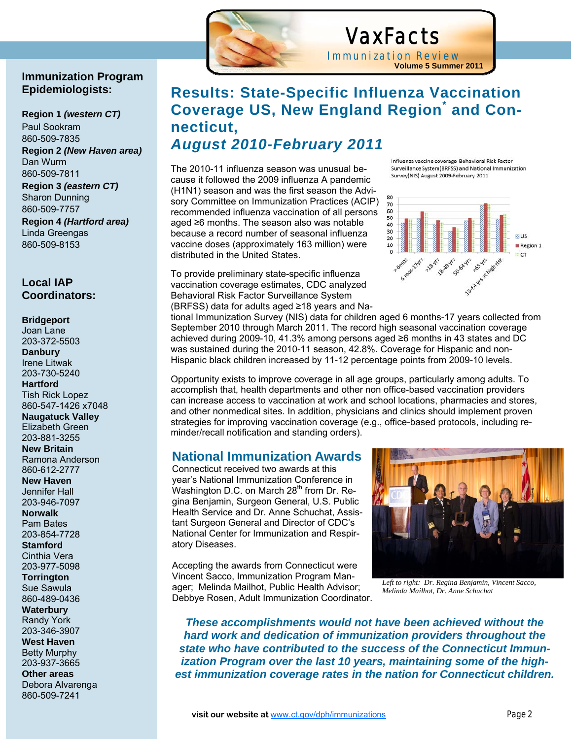

## VaxFacts

Immunization Review **Volume 5 Summer 2011**

## **Results: State-Specific Influenza Vaccination Coverage US, New England Region\* and Connecticut,**  *August 2010-February 2011*

The 2010-11 influenza season was unusual because it followed the 2009 influenza A pandemic (H1N1) season and was the first season the Advisory Committee on Immunization Practices (ACIP) recommended influenza vaccination of all persons aged ≥6 months. The season also was notable because a record number of seasonal influenza vaccine doses (approximately 163 million) were distributed in the United States.

To provide preliminary state-specific influenza vaccination coverage estimates, CDC analyzed Behavioral Risk Factor Surveillance System (BRFSS) data for adults aged ≥18 years and NaInfluenza vaccine coverage Behavioral Risk Factor Surveillance System(BRFSS) and National Immunization Survey(NIS) August 2009-February 2011



tional Immunization Survey (NIS) data for children aged 6 months-17 years collected from September 2010 through March 2011. The record high seasonal vaccination coverage achieved during 2009-10, 41.3% among persons aged ≥6 months in 43 states and DC was sustained during the 2010-11 season, 42.8%. Coverage for Hispanic and non-Hispanic black children increased by 11-12 percentage points from 2009-10 levels.

Opportunity exists to improve coverage in all age groups, particularly among adults. To accomplish that, health departments and other non office-based vaccination providers can increase access to vaccination at work and school locations, pharmacies and stores, and other nonmedical sites. In addition, physicians and clinics should implement proven strategies for improving vaccination coverage (e.g., office-based protocols, including reminder/recall notification and standing orders).

#### **National Immunization Awards**

Connecticut received two awards at this year's National Immunization Conference in Washington D.C. on March  $28<sup>th</sup>$  from Dr. Regina Benjamin, Surgeon General, U.S. Public Health Service and Dr. Anne Schuchat, Assistant Surgeon General and Director of CDC's National Center for Immunization and Respiratory Diseases.

Accepting the awards from Connecticut were Vincent Sacco, Immunization Program Manager; Melinda Mailhot, Public Health Advisor; Debbye Rosen, Adult Immunization Coordinator.



*Left to right: Dr. Regina Benjamin, Vincent Sacco, Melinda Mailhot, Dr. Anne Schuchat* 

*These accomplishments would not have been achieved without the hard work and dedication of immunization providers throughout the state who have contributed to the success of the Connecticut Immunization Program over the last 10 years, maintaining some of the highest immunization coverage rates in the nation for Connecticut children.*

#### **Immunization Program Epidemiologists:**

**Region 1** *(western CT)*  Paul Sookram 860-509-7835 **Region 2** *(New Haven area)*  Dan Wurm 860-509-7811

**Region 3** *(eastern CT)* Sharon Dunning 860-509-7757 **Region 4** *(Hartford area)* Linda Greengas 860-509-8153

#### **Local IAP Coordinators:**

#### **Bridgeport**

Joan Lane 203-372-5503 **Danbury**  Irene Litwak 203-730-5240 **Hartford**  Tish Rick Lopez 860-547-1426 x7048 **Naugatuck Valley**  Elizabeth Green 203-881-3255 **New Britain**  Ramona Anderson 860-612-2777 **New Haven**  Jennifer Hall 203-946-7097 **Norwalk**  Pam Bates 203-854-7728 **Stamford**  Cinthia Vera

#### 203-977-5098 **Torrington**

Sue Sawula 860-489-0436

**Waterbury**  Randy York 203-346-3907

**West Haven**  Betty Murphy 203-937-3665

**Other areas**  Debora Alvarenga 860-509-7241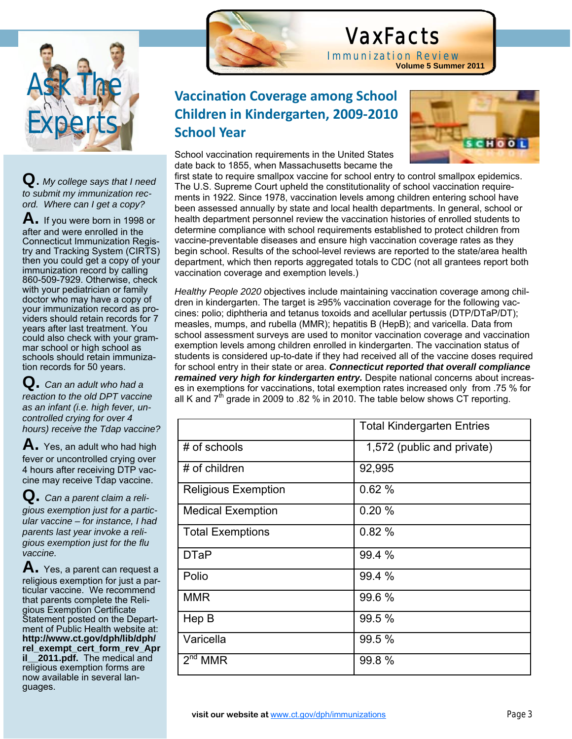

**Q**. *My college says that I need to submit my immunization record. Where can I get a copy?*

**A.** If you were born in 1998 or after and were enrolled in the Connecticut Immunization Registry and Tracking System (CIRTS) then you could get a copy of your immunization record by calling 860-509-7929. Otherwise, check with your pediatrician or family doctor who may have a copy of your immunization record as providers should retain records for 7 years after last treatment. You could also check with your grammar school or high school as schools should retain immunization records for 50 years.

**Q.** *Can an adult who had a reaction to the old DPT vaccine as an infant (i.e. high fever, uncontrolled crying for over 4 hours) receive the Tdap vaccine?*

**A.** Yes, an adult who had high fever or uncontrolled crying over 4 hours after receiving DTP vaccine may receive Tdap vaccine.

**Q.** *Can a parent claim a religious exemption just for a particular vaccine – for instance, I had parents last year invoke a religious exemption just for the flu vaccine.* 

**A.** Yes, a parent can request a religious exemption for just a particular vaccine. We recommend that parents complete the Religious Exemption Certificate Statement posted on the Department of Public Health website at: **http://www.ct.gov/dph/lib/dph/ rel\_exempt\_cert\_form\_rev\_Apr il** 2011.pdf. The medical and religious exemption forms are now available in several languages.



Ĩ

## VaxFacts

Immunization Review **Volume 5 Summer 2011**

## **Vaccination Coverage among School Children in Kindergarten, 2009‐2010 School Year**

School vaccination requirements in the United States date back to 1855, when Massachusetts became the



first state to require smallpox vaccine for school entry to control smallpox epidemics. The U.S. Supreme Court upheld the constitutionality of school vaccination requirements in 1922. Since 1978, vaccination levels among children entering school have been assessed annually by state and local health departments. In general, school or health department personnel review the vaccination histories of enrolled students to determine compliance with school requirements established to protect children from vaccine-preventable diseases and ensure high vaccination coverage rates as they begin school. Results of the school-level reviews are reported to the state/area health department, which then reports aggregated totals to CDC (not all grantees report both vaccination coverage and exemption levels.)

*Healthy People 2020* objectives include maintaining vaccination coverage among children in kindergarten. The target is ≥95% vaccination coverage for the following vaccines: polio; diphtheria and tetanus toxoids and acellular pertussis (DTP/DTaP/DT); measles, mumps, and rubella (MMR); hepatitis B (HepB); and varicella. Data from school assessment surveys are used to monitor vaccination coverage and vaccination exemption levels among children enrolled in kindergarten. The vaccination status of students is considered up-to-date if they had received all of the vaccine doses required for school entry in their state or area. *Connecticut reported that overall compliance remained very high for kindergarten entry.* Despite national concerns about increases in exemptions for vaccinations, total exemption rates increased only from .75 % for all K and  $7<sup>th</sup>$  grade in 2009 to .82 % in 2010. The table below shows CT reporting.

|                            | <b>Total Kindergarten Entries</b> |
|----------------------------|-----------------------------------|
| # of schools               | 1,572 (public and private)        |
| # of children              | 92,995                            |
| <b>Religious Exemption</b> | 0.62%                             |
| <b>Medical Exemption</b>   | 0.20%                             |
| <b>Total Exemptions</b>    | 0.82%                             |
| <b>DTaP</b>                | 99.4 %                            |
| Polio                      | 99.4 %                            |
| <b>MMR</b>                 | 99.6 %                            |
| Hep B                      | 99.5 %                            |
| Varicella                  | 99.5 %                            |
| 2 <sup>nd</sup> MMR        | 99.8%                             |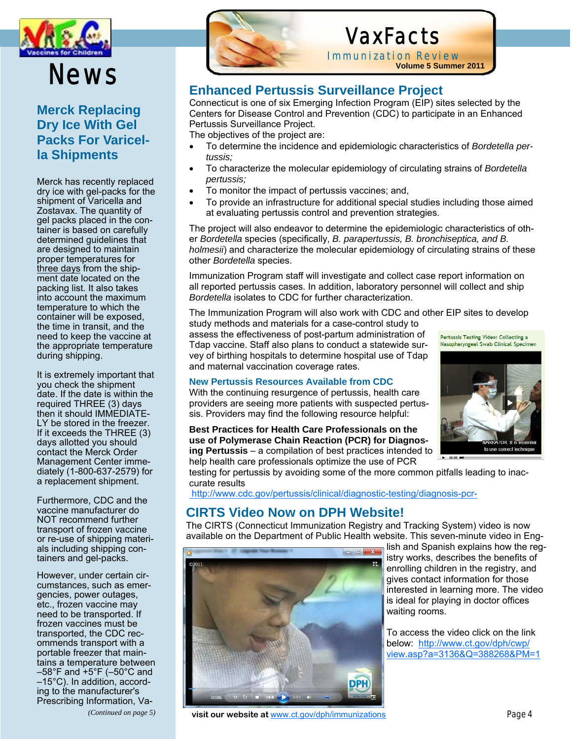

## News

#### **Merck Replacing Dry Ice With Gel Packs For Varicella Shipments**

Merck has recently replaced dry ice with gel-packs for the shipment of Varicella and Zostavax. The quantity of gel packs placed in the container is based on carefully determined guidelines that are designed to maintain proper temperatures for three days from the shipment date located on the packing list. It also takes into account the maximum temperature to which the container will be exposed, the time in transit, and the need to keep the vaccine at the appropriate temperature during shipping.

It is extremely important that you check the shipment date. If the date is within the required THREE (3) days then it should IMMEDIATE-LY be stored in the freezer. If it exceeds the THREE (3) days allotted you should contact the Merck Order Management Center immediately (1-800-637-2579) for a replacement shipment.

Furthermore, CDC and the vaccine manufacturer do NOT recommend further transport of frozen vaccine or re-use of shipping materials including shipping containers and gel-packs.

However, under certain circumstances, such as emergencies, power outages, etc., frozen vaccine may need to be transported. If frozen vaccines must be transported, the CDC recommends transport with a portable freezer that maintains a temperature between  $-58^{\circ}$ F and  $+5^{\circ}$ F ( $-50^{\circ}$ C and –15°C). In addition, according to the manufacturer's Prescribing Information, Va-

*(Continued on page 5)* 

## VaxFacts

Immunization Review **Volume 5 Summer 2011**

### **Enhanced Pertussis Surveillance Project**

Connecticut is one of six Emerging Infection Program (EIP) sites selected by the Centers for Disease Control and Prevention (CDC) to participate in an Enhanced Pertussis Surveillance Project.

The objectives of the project are:

- To determine the incidence and epidemiologic characteristics of *Bordetella pertussis;*
- To characterize the molecular epidemiology of circulating strains of *Bordetella pertussis;*
- To monitor the impact of pertussis vaccines; and,
- To provide an infrastructure for additional special studies including those aimed at evaluating pertussis control and prevention strategies.

The project will also endeavor to determine the epidemiologic characteristics of other *Bordetella* species (specifically, *B. parapertussis, B. bronchiseptica, and B. holmesii*) and characterize the molecular epidemiology of circulating strains of these other *Bordetella* species.

Immunization Program staff will investigate and collect case report information on all reported pertussis cases. In addition, laboratory personnel will collect and ship *Bordetella* isolates to CDC for further characterization.

The Immunization Program will also work with CDC and other EIP sites to develop study methods and materials for a case-control study to

assess the effectiveness of post-partum administration of Tdap vaccine. Staff also plans to conduct a statewide survey of birthing hospitals to determine hospital use of Tdap and maternal vaccination coverage rates.



to use correct techn

#### **New Pertussis Resources Available from CDC**

With the continuing resurgence of pertussis, health care providers are seeing more patients with suspected pertussis. Providers may find the following resource helpful:

**Best Practices for Health Care Professionals on the use of Polymerase Chain Reaction (PCR) for Diagnosing Pertussis** – a compilation of best practices intended to help health care professionals optimize the use of PCR

testing for pertussis by avoiding some of the more common pitfalls leading to inaccurate results

http://www.cdc.gov/pertussis/clinical/diagnostic-testing/diagnosis-pcr-

### **CIRTS Video Now on DPH Website!**

The CIRTS (Connecticut Immunization Registry and Tracking System) video is now available on the Department of Public Health website. This seven-minute video in Eng-



lish and Spanish explains how the registry works, describes the benefits of enrolling children in the registry, and gives contact information for those interested in learning more. The video is ideal for playing in doctor offices waiting rooms.

To access the video click on the link below: http://www.ct.gov/dph/cwp/ view.asp?a=3136&Q=388268&PM=1

 **visit our website at** www.ct.gov/dph/immunizations Page 4